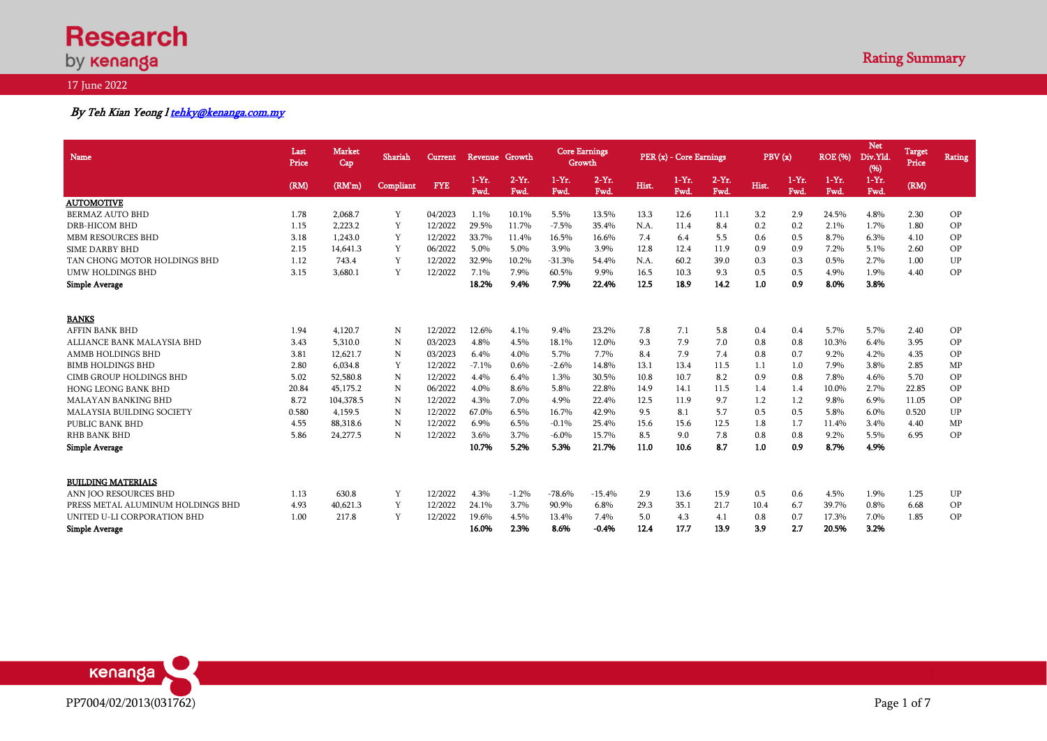# **Research** by **kenanga**

# 17 June 2022

# By Teh Kian Yeong l tehky@kenanga.com.my

| Name                              | Last<br>Price | <b>Market</b><br>Cap | Shariah   | Current    | Revenue Growth  |                  | <b>Core Earnings</b><br>Growth |                |       | PER (x) - Core Earnings |                 | PBV (x) |                 | <b>ROE</b> (%)   | <b>Net</b><br>Div.Yld.<br>(96) | Target<br>Price | <b>Rating</b> |
|-----------------------------------|---------------|----------------------|-----------|------------|-----------------|------------------|--------------------------------|----------------|-------|-------------------------|-----------------|---------|-----------------|------------------|--------------------------------|-----------------|---------------|
|                                   | (RM)          | (RM'm)               | Compliant | <b>FYE</b> | $1-Yr.$<br>Fwd. | $2-Yr$ .<br>Fwd. | $1-Yr.$<br>Fwd.                | $2-Yr.$<br>Fwd | Hist. | $1-Yr.$<br>Fwd.         | $2-Yr.$<br>Fwd. | Hist.   | $1-Yr.$<br>Fwd. | $1-Yr$ .<br>Fwd. | $1-Yr$ .<br>Fwd                | (RM)            |               |
| <b>AUTOMOTIVE</b>                 |               |                      |           |            |                 |                  |                                |                |       |                         |                 |         |                 |                  |                                |                 |               |
| <b>BERMAZ AUTO BHD</b>            | 1.78          | 2,068.7              | Y         | 04/2023    | 1.1%            | 10.1%            | 5.5%                           | 13.5%          | 13.3  | 12.6                    | 11.1            | 3.2     | 2.9             | 24.5%            | 4.8%                           | 2.30            | OP            |
| <b>DRB-HICOM BHD</b>              | 1.15          | 2.223.2              | Y         | 12/2022    | 29.5%           | 11.7%            | $-7.5%$                        | 35.4%          | N.A.  | 11.4                    | 8.4             | 0.2     | 0.2             | 2.1%             | 1.7%                           | 1.80            | OP            |
| MBM RESOURCES BHD                 | 3.18          | 1.243.0              | Y         | 12/2022    | 33.7%           | 11.4%            | 16.5%                          | 16.6%          | 7.4   | 6.4                     | 5.5             | 0.6     | 0.5             | 8.7%             | 6.3%                           | 4.10            | OP            |
| <b>SIME DARBY BHD</b>             | 2.15          | 14.641.3             | Y         | 06/2022    | 5.0%            | 5.0%             | 3.9%                           | 3.9%           | 12.8  | 12.4                    | 11.9            | 0.9     | 0.9             | 7.2%             | 5.1%                           | 2.60            | OP            |
| TAN CHONG MOTOR HOLDINGS BHD      | 1.12          | 743.4                | Y         | 12/2022    | 32.9%           | 10.2%            | $-31.3%$                       | 54.4%          | N.A.  | 60.2                    | 39.0            | 0.3     | 0.3             | 0.5%             | 2.7%                           | 1.00            | UP            |
| <b>UMW HOLDINGS BHD</b>           | 3.15          | 3,680.1              | Y         | 12/2022    | 7.1%            | 7.9%             | 60.5%                          | 9.9%           | 16.5  | 10.3                    | 9.3             | 0.5     | 0.5             | 4.9%             | 1.9%                           | 4.40            | <b>OP</b>     |
| <b>Simple Average</b>             |               |                      |           |            | 18.2%           | 9.4%             | 7.9%                           | 22.4%          | 12.5  | 18.9                    | 14.2            | 1.0     | 0.9             | 8.0%             | 3.8%                           |                 |               |
| <b>BANKS</b>                      |               |                      |           |            |                 |                  |                                |                |       |                         |                 |         |                 |                  |                                |                 |               |
| <b>AFFIN BANK BHD</b>             | 1.94          | 4,120.7              | N         | 12/2022    | 12.6%           | 4.1%             | 9.4%                           | 23.2%          | 7.8   | 7.1                     | 5.8             | 0.4     | 0.4             | 5.7%             | 5.7%                           | 2.40            | OP            |
| ALLIANCE BANK MALAYSIA BHD        | 3.43          | 5,310.0              | N         | 03/2023    | 4.8%            | 4.5%             | 18.1%                          | 12.0%          | 9.3   | 7.9                     | 7.0             | 0.8     | 0.8             | 10.3%            | 6.4%                           | 3.95            | OP            |
| AMMB HOLDINGS BHD                 | 3.81          | 12.621.7             | N         | 03/2023    | 6.4%            | 4.0%             | 5.7%                           | 7.7%           | 8.4   | 7.9                     | 7.4             | 0.8     | 0.7             | 9.2%             | 4.2%                           | 4.35            | OP            |
| <b>BIMB HOLDINGS BHD</b>          | 2.80          | 6.034.8              | Y         | 12/2022    | $-7.1%$         | 0.6%             | $-2.6%$                        | 14.8%          | 13.1  | 13.4                    | 11.5            | 1.1     | 1.0             | 7.9%             | 3.8%                           | 2.85            | MP            |
| <b>CIMB GROUP HOLDINGS BHD</b>    | 5.02          | 52,580.8             | N         | 12/2022    | 4.4%            | 6.4%             | 1.3%                           | 30.5%          | 10.8  | 10.7                    | 8.2             | 0.9     | 0.8             | 7.8%             | 4.6%                           | 5.70            | <b>OP</b>     |
| <b>HONG LEONG BANK BHD</b>        | 20.84         | 45,175.2             | N         | 06/2022    | 4.0%            | 8.6%             | 5.8%                           | 22.8%          | 14.9  | 14.1                    | 11.5            | 1.4     | 1.4             | 10.0%            | 2.7%                           | 22.85           | OP            |
| <b>MALAYAN BANKING BHD</b>        | 8.72          | 104,378.5            | N         | 12/2022    | 4.3%            | 7.0%             | 4.9%                           | 22.4%          | 12.5  | 11.9                    | 9.7             | 1.2     | 1.2             | 9.8%             | 6.9%                           | 11.05           | OP            |
| <b>MALAYSIA BUILDING SOCIETY</b>  | 0.580         | 4.159.5              | N         | 12/2022    | 67.0%           | 6.5%             | 16.7%                          | 42.9%          | 9.5   | 8.1                     | 5.7             | 0.5     | 0.5             | 5.8%             | 6.0%                           | 0.520           | UP            |
| PUBLIC BANK BHD                   | 4.55          | 88,318.6             | N         | 12/2022    | 6.9%            | 6.5%             | $-0.1%$                        | 25.4%          | 15.6  | 15.6                    | 12.5            | 1.8     | 1.7             | 11.4%            | 3.4%                           | 4.40            | MP            |
| <b>RHB BANK BHD</b>               | 5.86          | 24,277.5             | N         | 12/2022    | 3.6%            | 3.7%             | $-6.0\%$                       | 15.7%          | 8.5   | 9.0                     | 7.8             | 0.8     | 0.8             | 9.2%             | 5.5%                           | 6.95            | OP            |
| <b>Simple Average</b>             |               |                      |           |            | 10.7%           | 5.2%             | 5.3%                           | 21.7%          | 11.0  | 10.6                    | 8.7             | 1.0     | 0.9             | 8.7%             | 4.9%                           |                 |               |
| <b>BUILDING MATERIALS</b>         |               |                      |           |            |                 |                  |                                |                |       |                         |                 |         |                 |                  |                                |                 |               |
| ANN IOO RESOURCES BHD             | 1.13          | 630.8                | Y         | 12/2022    | 4.3%            | $-1.2%$          | $-78.6%$                       | $-15.4%$       | 2.9   | 13.6                    | 15.9            | 0.5     | 0.6             | 4.5%             | 1.9%                           | 1.25            | UP            |
| PRESS METAL ALUMINUM HOLDINGS BHD | 4.93          | 40,621.3             | Y         | 12/2022    | 24.1%           | 3.7%             | 90.9%                          | 6.8%           | 29.3  | 35.1                    | 21.7            | 10.4    | 6.7             | 39.7%            | 0.8%                           | 6.68            | OP            |
| UNITED U-LI CORPORATION BHD       | 1.00          | 217.8                | Y         | 12/2022    | 19.6%           | 4.5%             | 13.4%                          | 7.4%           | 5.0   | 4.3                     | 4.1             | 0.8     | 0.7             | 17.3%            | 7.0%                           | 1.85            | <b>OP</b>     |
| <b>Simple Average</b>             |               |                      |           |            | 16.0%           | 2.3%             | 8.6%                           | $-0.4%$        | 12.4  | 17.7                    | 13.9            | 3.9     | 2.7             | 20.5%            | 3.2%                           |                 |               |

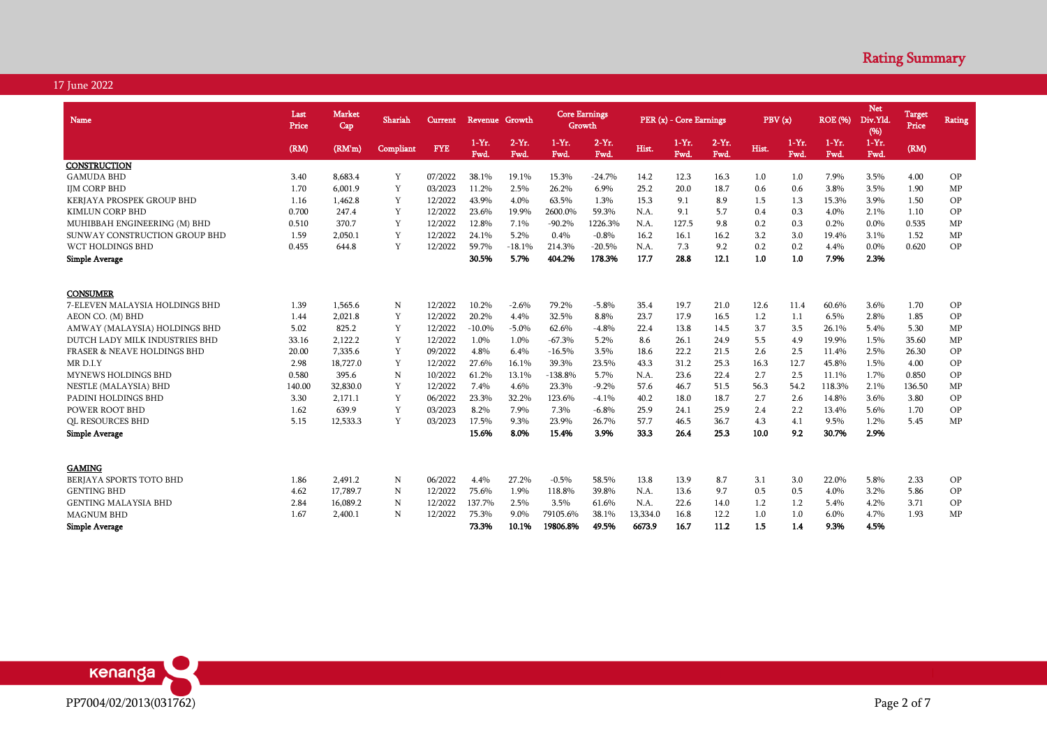| Name                                   | Last<br>Price | <b>Market</b><br>Cap | Shariah   | <b>Current</b> | <b>Revenue</b>  | Growth           | <b>Core Earnings</b> | Growth           |          | PER (x) - Core Earnings |                 |       | PBV(x)         | <b>ROE</b> (%)   | <b>Net</b><br>Div.Yld.<br>(96) | <b>Target</b><br>Price | Rating |
|----------------------------------------|---------------|----------------------|-----------|----------------|-----------------|------------------|----------------------|------------------|----------|-------------------------|-----------------|-------|----------------|------------------|--------------------------------|------------------------|--------|
|                                        | (RM)          | (RM'm)               | Compliant | <b>FYE</b>     | $1-Yr.$<br>Fwd. | $2-Yr$ .<br>Fwd. | $1-Yr.$<br>Fwd.      | $2-Yr$ .<br>Fwd. | Hist.    | $1-Yr.$<br>Fwd.         | $2-Yr.$<br>Fwd. | Hist. | $1-Yr.$<br>Fwd | $1-Yr$ .<br>Fwd. | $1-Yr$ .<br>Fwd.               | (RM)                   |        |
| CONSTRUCTION                           |               |                      |           |                |                 |                  |                      |                  |          |                         |                 |       |                |                  |                                |                        |        |
| <b>GAMUDA BHD</b>                      | 3.40          | 8.683.4              | Y         | 07/2022        | 38.1%           | 19.1%            | 15.3%                | $-24.7%$         | 14.2     | 12.3                    | 16.3            | 1.0   | 1.0            | 7.9%             | 3.5%                           | 4.00                   | OP     |
| <b>IJM CORP BHD</b>                    | 1.70          | 6.001.9              | Y         | 03/2023        | 11.2%           | 2.5%             | 26.2%                | 6.9%             | 25.2     | 20.0                    | 18.7            | 0.6   | 0.6            | 3.8%             | 3.5%                           | 1.90                   | MP     |
| KERJAYA PROSPEK GROUP BHD              | 1.16          | 1.462.8              | Y         | 12/2022        | 43.9%           | 4.0%             | 63.5%                | 1.3%             | 15.3     | 9.1                     | 8.9             | 1.5   | 1.3            | 15.3%            | 3.9%                           | 1.50                   | OP     |
| <b>KIMLUN CORP BHD</b>                 | 0.700         | 247.4                | Y         | 12/2022        | 23.6%           | 19.9%            | 2600.0%              | 59.3%            | N.A.     | 9.1                     | 5.7             | 0.4   | 0.3            | 4.0%             | 2.1%                           | 1.10                   | OP     |
| MUHIBBAH ENGINEERING (M) BHD           | 0.510         | 370.7                | Y         | 12/2022        | 12.8%           | 7.1%             | $-90.2%$             | 1226.3%          | N.A.     | 127.5                   | 9.8             | 0.2   | 0.3            | 0.2%             | $0.0\%$                        | 0.535                  | MP     |
| SUNWAY CONSTRUCTION GROUP BHD          | 1.59          | 2,050.1              | Y         | 12/2022        | 24.1%           | 5.2%             | 0.4%                 | $-0.8%$          | 16.2     | 16.1                    | 16.2            | 3.2   | 3.0            | 19.4%            | 3.1%                           | 1.52                   | MP     |
| WCT HOLDINGS BHD                       | 0.455         | 644.8                | Y         | 12/2022        | 59.7%           | $-18.1%$         | 214.3%               | $-20.5%$         | N.A.     | 7.3                     | 9.2             | 0.2   | 0.2            | 4.4%             | $0.0\%$                        | 0.620                  | OP     |
| <b>Simple Average</b>                  |               |                      |           |                | 30.5%           | 5.7%             | 404.2%               | 178.3%           | 17.7     | 28.8                    | 12.1            | 1.0   | 1.0            | 7.9%             | 2.3%                           |                        |        |
| <b>CONSUMER</b>                        |               |                      |           |                |                 |                  |                      |                  |          |                         |                 |       |                |                  |                                |                        |        |
| 7-ELEVEN MALAYSIA HOLDINGS BHD         | 1.39          | 1.565.6              | N         | 12/2022        | 10.2%           | $-2.6%$          | 79.2%                | $-5.8%$          | 35.4     | 19.7                    | 21.0            | 12.6  | 11.4           | 60.6%            | 3.6%                           | 1.70                   | OP     |
| AEON CO. (M) BHD                       | 1.44          | 2.021.8              | Y         | 12/2022        | 20.2%           | 4.4%             | 32.5%                | 8.8%             | 23.7     | 17.9                    | 16.5            | 1.2   | 1.1            | 6.5%             | 2.8%                           | 1.85                   | OP     |
| AMWAY (MALAYSIA) HOLDINGS BHD          | 5.02          | 825.2                | Y         | 12/2022        | $-10.0\%$       | $-5.0\%$         | 62.6%                | $-4.8%$          | 22.4     | 13.8                    | 14.5            | 3.7   | 3.5            | 26.1%            | 5.4%                           | 5.30                   | MP     |
| DUTCH LADY MILK INDUSTRIES BHD         | 33.16         | 2,122.2              | Y         | 12/2022        | 1.0%            | 1.0%             | $-67.3%$             | 5.2%             | 8.6      | 26.1                    | 24.9            | 5.5   | 4.9            | 19.9%            | 1.5%                           | 35.60                  | MP     |
| <b>FRASER &amp; NEAVE HOLDINGS BHD</b> | 20.00         | 7,335.6              | Y         | 09/2022        | 4.8%            | 6.4%             | $-16.5%$             | 3.5%             | 18.6     | 22.2                    | 21.5            | 2.6   | 2.5            | 11.4%            | 2.5%                           | 26.30                  | OP     |
| MR D.I.Y                               | 2.98          | 18,727.0             | Y         | 12/2022        | 27.6%           | 16.1%            | 39.3%                | 23.5%            | 43.3     | 31.2                    | 25.3            | 16.3  | 12.7           | 45.8%            | 1.5%                           | 4.00                   | OP     |
| <b>MYNEWS HOLDINGS BHD</b>             | 0.580         | 395.6                | N         | 10/2022        | 61.2%           | 13.1%            | $-138.8%$            | 5.7%             | N.A.     | 23.6                    | 22.4            | 2.7   | 2.5            | 11.1%            | 1.7%                           | 0.850                  | OP     |
| NESTLE (MALAYSIA) BHD                  | 140.00        | 32,830.0             | Y         | 12/2022        | 7.4%            | 4.6%             | 23.3%                | $-9.2%$          | 57.6     | 46.7                    | 51.5            | 56.3  | 54.2           | 118.3%           | 2.1%                           | 136.50                 | MP     |
| PADINI HOLDINGS BHD                    | 3.30          | 2.171.1              | Y         | 06/2022        | 23.3%           | 32.2%            | 123.6%               | $-4.1%$          | 40.2     | 18.0                    | 18.7            | 2.7   | 2.6            | 14.8%            | 3.6%                           | 3.80                   | OP     |
| POWER ROOT BHD                         | 1.62          | 639.9                | Y         | 03/2023        | 8.2%            | 7.9%             | 7.3%                 | $-6.8%$          | 25.9     | 24.1                    | 25.9            | 2.4   | 2.2            | 13.4%            | 5.6%                           | 1.70                   | OP     |
| <b>QL RESOURCES BHD</b>                | 5.15          | 12,533.3             | Y         | 03/2023        | 17.5%           | 9.3%             | 23.9%                | 26.7%            | 57.7     | 46.5                    | 36.7            | 4.3   | 4.1            | 9.5%             | 1.2%                           | 5.45                   | MP     |
| <b>Simple Average</b>                  |               |                      |           |                | 15.6%           | 8.0%             | 15.4%                | 3.9%             | 33.3     | 26.4                    | 25.3            | 10.0  | 9.2            | 30.7%            | 2.9%                           |                        |        |
|                                        |               |                      |           |                |                 |                  |                      |                  |          |                         |                 |       |                |                  |                                |                        |        |
| <b>GAMING</b>                          |               |                      |           |                |                 |                  |                      |                  |          |                         |                 |       |                |                  |                                |                        |        |
| BERJAYA SPORTS TOTO BHD                | 1.86          | 2.491.2              | N         | 06/2022        | 4.4%            | 27.2%            | $-0.5%$              | 58.5%            | 13.8     | 13.9                    | 8.7             | 3.1   | 3.0            | 22.0%            | 5.8%                           | 2.33                   | OP     |
| <b>GENTING BHD</b>                     | 4.62          | 17,789.7             | N         | 12/2022        | 75.6%           | 1.9%             | 118.8%               | 39.8%            | N.A.     | 13.6                    | 9.7             | 0.5   | 0.5            | 4.0%             | 3.2%                           | 5.86                   | OP     |
| <b>GENTING MALAYSIA BHD</b>            | 2.84          | 16,089.2             | N         | 12/2022        | 137.7%          | 2.5%             | 3.5%                 | 61.6%            | N.A.     | 22.6                    | 14.0            | 1.2   | 1.2            | 5.4%             | 4.2%                           | 3.71                   | OP     |
| <b>MAGNUM BHD</b>                      | 1.67          | 2,400.1              | N         | 12/2022        | 75.3%           | 9.0%             | 79105.6%             | 38.1%            | 13,334.0 | 16.8                    | 12.2            | 1.0   | 1.0            | 6.0%             | 4.7%                           | 1.93                   | MP     |
| <b>Simple Average</b>                  |               |                      |           |                | 73.3%           | 10.1%            | 19806.8%             | 49.5%            | 6673.9   | 16.7                    | 11.2            | 1.5   | 1.4            | 9.3%             | 4.5%                           |                        |        |

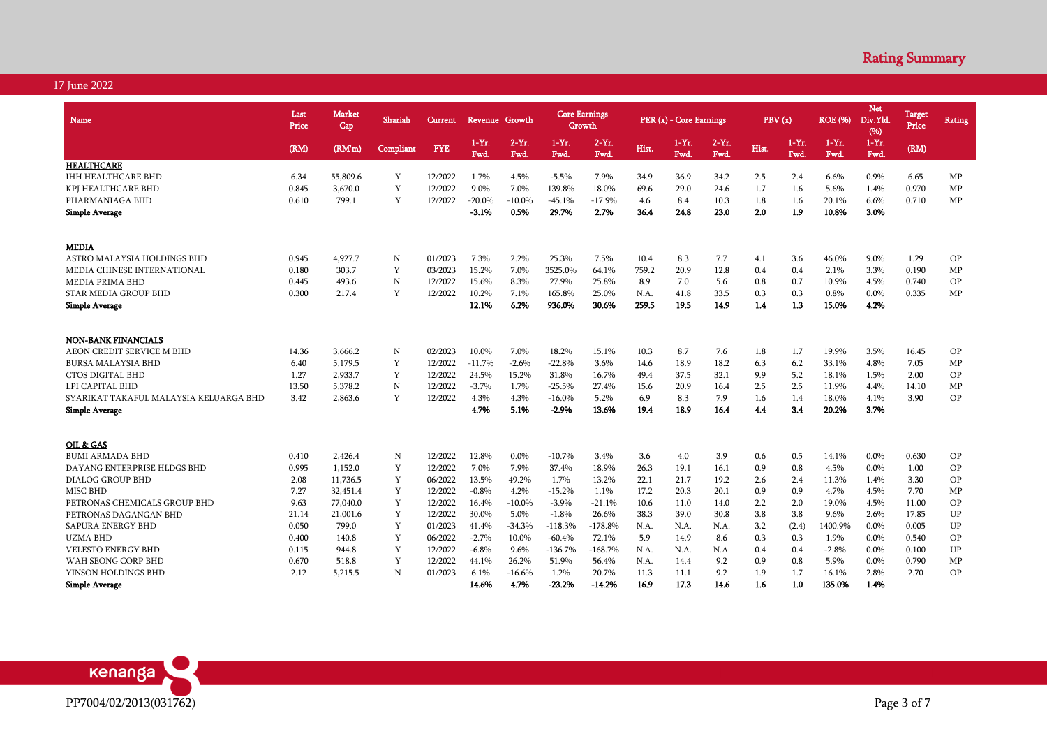| Name                                   | Last<br>Price | <b>Market</b><br>Cap | Shariah     | Current    |                 | Revenue Growth  |                       | <b>Core Earnings</b><br>Growth |             | PER (x) - Core Earnings |                 |       | PBV(x)          | <b>ROE (%)</b>   | <b>Net</b><br>Div.Yld.<br>(96) | Target<br>Price | <b>Rating</b> |
|----------------------------------------|---------------|----------------------|-------------|------------|-----------------|-----------------|-----------------------|--------------------------------|-------------|-------------------------|-----------------|-------|-----------------|------------------|--------------------------------|-----------------|---------------|
|                                        | (RM)          | (RM'm)               | Compliant   | <b>FYE</b> | $1-Yr.$<br>Fwd. | $2-Yr.$<br>Fwd. | $1-Yr$ .<br>Fwd.      | $2-Yr.$<br>Fwd.                | Hist.       | $1-Yr$ .<br>Fwd.        | $2-Yr.$<br>Fwd. | Hist. | $1-Yr.$<br>Fwd. | $1-Yr$ .<br>Fwd. | $1-Yr.$<br>Fwd.                | (RM)            |               |
| <b>HEALTHCARE</b>                      |               |                      |             |            |                 |                 |                       |                                |             |                         |                 |       |                 |                  |                                |                 |               |
| <b>IHH HEALTHCARE BHD</b>              | 6.34          | 55,809.6             | Y           | 12/2022    | 1.7%            | 4.5%            | $-5.5%$               | 7.9%                           | 34.9        | 36.9                    | 34.2            | 2.5   | 2.4             | 6.6%             | 0.9%                           | 6.65            | MP            |
| KPJ HEALTHCARE BHD                     | 0.845         | 3,670.0              | Y           | 12/2022    | 9.0%            | 7.0%            | 139.8%                | 18.0%                          | 69.6        | 29.0                    | 24.6            | 1.7   | 1.6             | 5.6%             | 1.4%                           | 0.970           | MP            |
| PHARMANIAGA BHD                        | 0.610         | 799.1                | Y           | 12/2022    | $-20.0%$        | $-10.0\%$       | $-45.1%$              | $-17.9%$                       | 4.6         | 8.4                     | 10.3            | 1.8   | 1.6             | 20.1%            | 6.6%                           | 0.710           | MP            |
| <b>Simple Average</b>                  |               |                      |             |            | -3.1%           | 0.5%            | 29.7%                 | 2.7%                           | 36.4        | 24.8                    | 23.0            | 2.0   | 1.9             | 10.8%            | 3.0%                           |                 |               |
| <b>MEDIA</b>                           |               |                      |             |            |                 |                 |                       |                                |             |                         |                 |       |                 |                  |                                |                 |               |
| ASTRO MALAYSIA HOLDINGS BHD            | 0.945         | 4,927.7              | N           | 01/2023    | 7.3%            | 2.2%            | 25.3%                 | 7.5%                           | 10.4        | 8.3                     | 7.7             | 4.1   | 3.6             | 46.0%            | 9.0%                           | 1.29            | OP            |
| MEDIA CHINESE INTERNATIONAL            | 0.180         | 303.7                | Y           | 03/2023    | 15.2%           | 7.0%            | 3525.0%               | 64.1%                          | 759.2       | 20.9                    | 12.8            | 0.4   | 0.4             | 2.1%             | 3.3%                           | 0.190           | MP            |
| <b>MEDIA PRIMA BHD</b>                 | 0.445         | 493.6                | $\mathbb N$ | 12/2022    | 15.6%           | 8.3%            | 27.9%                 | 25.8%                          | 8.9         | 7.0                     | 5.6             | 0.8   | 0.7             | 10.9%            | 4.5%                           | 0.740           | OP            |
| <b>STAR MEDIA GROUP BHD</b>            | 0.300         | 217.4                | Y           | 12/2022    | 10.2%           | 7.1%            | 165.8%                | 25.0%                          | N.A.        | 41.8                    | 33.5            | 0.3   | 0.3             | 0.8%             | 0.0%                           | 0.335           | MP            |
| <b>Simple Average</b>                  |               |                      |             |            | 12.1%           | 6.2%            | 936.0%                | 30.6%                          | 259.5       | 19.5                    | 14.9            | 1.4   | 1.3             | 15.0%            | 4.2%                           |                 |               |
|                                        |               |                      |             |            |                 |                 |                       |                                |             |                         |                 |       |                 |                  |                                |                 |               |
| <b>NON-BANK FINANCIALS</b>             |               |                      |             |            |                 |                 |                       |                                |             |                         |                 |       |                 |                  |                                |                 |               |
| AEON CREDIT SERVICE M BHD              | 14.36         | 3,666.2              | N           | 02/2023    | 10.0%           | 7.0%            | 18.2%                 | 15.1%                          | 10.3        | 8.7                     | 7.6             | 1.8   | 1.7             | 19.9%            | 3.5%                           | 16.45           | OP            |
| <b>BURSA MALAYSIA BHD</b>              | 6.40          | 5.179.5              | Y           | 12/2022    | $-11.7%$        | $-2.6%$         | $-22.8%$              | 3.6%                           | 14.6        | 18.9                    | 18.2            | 6.3   | 6.2             | 33.1%            | 4.8%                           | 7.05            | MP            |
| <b>CTOS DIGITAL BHD</b>                | 1.27          | 2,933.7              | Y           | 12/2022    | 24.5%           | 15.2%           | 31.8%                 | 16.7%                          | 49.4        | 37.5                    | 32.1            | 9.9   | 5.2             | 18.1%            | 1.5%                           | 2.00            | OP            |
| LPI CAPITAL BHD                        | 13.50         | 5,378.2              | N           | 12/2022    | $-3.7%$         | 1.7%            | $-25.5%$              | 27.4%                          | 15.6        | 20.9                    | 16.4            | 2.5   | 2.5             | 11.9%            | 4.4%                           | 14.10           | MP            |
| SYARIKAT TAKAFUL MALAYSIA KELUARGA BHD | 3.42          | 2,863.6              | Y           | 12/2022    | 4.3%            | 4.3%            | $-16.0%$              | 5.2%                           | 6.9         | 8.3                     | 7.9             | 1.6   | 1.4             | 18.0%            | 4.1%                           | 3.90            | OP            |
| <b>Simple Average</b>                  |               |                      |             |            | 4.7%            | 5.1%            | $-2.9%$               | 13.6%                          | 19.4        | 18.9                    | 16.4            | 4.4   | 3.4             | 20.2%            | 3.7%                           |                 |               |
| OIL & GAS                              |               |                      |             |            |                 |                 |                       |                                |             |                         |                 |       |                 |                  |                                |                 |               |
| <b>BUMI ARMADA BHD</b>                 | 0.410         | 2,426.4              | N           | 12/2022    | 12.8%           | 0.0%            | $-10.7%$              | 3.4%                           | 3.6         | 4.0                     | 3.9             | 0.6   | 0.5             | 14.1%            | 0.0%                           | 0.630           | OP            |
| DAYANG ENTERPRISE HLDGS BHD            | 0.995         | 1.152.0              | Y           | 12/2022    | 7.0%            | 7.9%            | 37.4%                 | 18.9%                          | 26.3        | 19.1                    | 16.1            | 0.9   | 0.8             | 4.5%             | $0.0\%$                        | 1.00            | OP            |
| <b>DIALOG GROUP BHD</b>                | 2.08          | 11,736.5             | Y           | 06/2022    | 13.5%           | 49.2%           | 1.7%                  | 13.2%                          | 22.1        | 21.7                    | 19.2            | 2.6   | 2.4             | 11.3%            | 1.4%                           | 3.30            | OP            |
| MISC BHD                               | 7.27          | 32,451.4             | Y           | 12/2022    | $-0.8%$         | 4.2%            | $-15.2%$              | 1.1%                           | 17.2        | 20.3                    | 20.1            | 0.9   | 0.9             | 4.7%             | 4.5%                           | 7.70            | MP            |
| PETRONAS CHEMICALS GROUP BHD           | 9.63          | 77,040.0             | Y           | 12/2022    | 16.4%           | $-10.0\%$       | $-3.9%$               | $-21.1%$                       | 10.6        | 11.0                    | 14.0            | 2.2   | 2.0             | 19.0%            | 4.5%                           | 11.00           | OP            |
|                                        | 21.14         | 21,001.6             | Y           | 12/2022    | 30.0%           | 5.0%            | $-1.8%$               | 26.6%                          | 38.3        | 39.0                    | 30.8            | 3.8   | 3.8             | 9.6%             | 2.6%                           | 17.85           | UP            |
| PETRONAS DAGANGAN BHD                  | 0.050         | 799.0                | Y           | 01/2023    | 41.4%           | $-34.3%$        | $-118.3%$             | $-178.8%$                      | N.A.        | N.A.                    | N.A.            | 3.2   | (2.4)           | 1400.9%          | 0.0%                           | 0.005           | UP            |
| SAPURA ENERGY BHD                      | 0.400         | 140.8                | Y           | 06/2022    | $-2.7%$         | 10.0%           |                       | 72.1%                          |             | 14.9                    |                 | 0.3   | 0.3             |                  | 0.0%                           | 0.540           | OP            |
| <b>UZMA BHD</b>                        | 0.115         | 944.8                | Y           | 12/2022    | $-6.8%$         | 9.6%            | $-60.4%$<br>$-136.7%$ | $-168.7%$                      | 5.9<br>N.A. | N.A.                    | 8.6<br>N.A.     | 0.4   | 0.4             | 1.9%<br>$-2.8%$  | 0.0%                           | 0.100           | UP            |
| <b>VELESTO ENERGY BHD</b>              |               |                      | Y           | 12/2022    |                 |                 |                       |                                |             |                         |                 |       |                 |                  |                                |                 |               |
| WAH SEONG CORP BHD                     | 0.670         | 518.8                |             |            | 44.1%           | 26.2%           | 51.9%                 | 56.4%                          | N.A.        | 14.4                    | 9.2             | 0.9   | 0.8             | 5.9%             | 0.0%                           | 0.790           | MP            |
| YINSON HOLDINGS BHD                    | 2.12          | 5,215.5              | N           | 01/2023    | 6.1%            | $-16.6%$        | 1.2%                  | 20.7%                          | 11.3        | 11.1                    | 9.2             | 1.9   | 1.7             | 16.1%            | 2.8%                           | 2.70            | OP            |
| <b>Simple Average</b>                  |               |                      |             |            | 14.6%           | 4.7%            | $-23.2%$              | $-14.2%$                       | 16.9        | 17.3                    | 14.6            | 1.6   | 1.0             | 135.0%           | 1.4%                           |                 |               |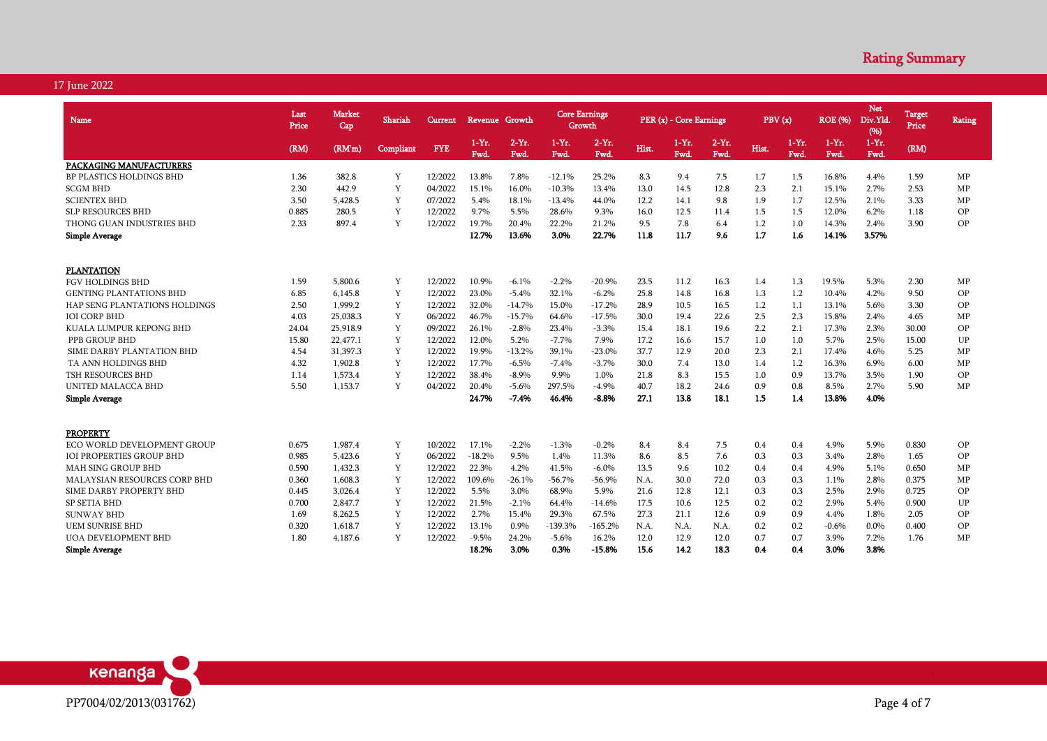| Name                                 | Last<br>Price | <b>Market</b><br>Cap | Shariah   | <b>Current</b> | Revenue Growth   |                 | <b>Core Earnings</b> | Growth          |       | PER (x) - Core Earnings |                 | PBV(x) |                 | <b>ROE</b> (%)   | <b>Net</b><br>Div.Yld<br>(96) | <b>Target</b><br>Price | Rating |
|--------------------------------------|---------------|----------------------|-----------|----------------|------------------|-----------------|----------------------|-----------------|-------|-------------------------|-----------------|--------|-----------------|------------------|-------------------------------|------------------------|--------|
|                                      | (RM)          | (RM'm)               | Compliant | <b>FYE</b>     | $1-Yr$ .<br>Fwd. | $2-Yr$ .<br>Fwd | $1-Yr$ .<br>Fwd.     | $2-Yr$ .<br>Fwd | Hist. | $1-Yr.$<br>Fwd.         | $2-Yr.$<br>Fwd. | Hist.  | $1-Yr.$<br>Fwd. | $1-Yr$ .<br>Fwd. | $1-Yr$ .<br>Fwd.              | (RM)                   |        |
| PACKAGING MANUFACTURERS              |               |                      |           |                |                  |                 |                      |                 |       |                         |                 |        |                 |                  |                               |                        |        |
| <b>BP PLASTICS HOLDINGS BHD</b>      | 1.36          | 382.8                | Y         | 12/2022        | 13.8%            | 7.8%            | $-12.1%$             | 25.2%           | 8.3   | 9.4                     | 7.5             | 1.7    | 1.5             | 16.8%            | 4.4%                          | 1.59                   | MP     |
| <b>SCGM BHD</b>                      | 2.30          | 442.9                | Y         | 04/2022        | 15.1%            | 16.0%           | $-10.3%$             | 13.4%           | 13.0  | 14.5                    | 12.8            | 2.3    | 2.1             | 15.1%            | 2.7%                          | 2.53                   | MP     |
| <b>SCIENTEX BHD</b>                  | 3.50          | 5.428.5              | Y         | 07/2022        | 5.4%             | 18.1%           | $-13.4%$             | 44.0%           | 12.2  | 14.1                    | 9.8             | 1.9    | 1.7             | 12.5%            | 2.1%                          | 3.33                   | MP     |
| <b>SLP RESOURCES BHD</b>             | 0.885         | 280.5                | Y         | 12/2022        | 9.7%             | 5.5%            | 28.6%                | 9.3%            | 16.0  | 12.5                    | 11.4            | 1.5    | 1.5             | 12.0%            | 6.2%                          | 1.18                   | OP     |
| THONG GUAN INDUSTRIES BHD            | 2.33          | 897.4                | Y         | 12/2022        | 19.7%            | 20.4%           | 22.2%                | 21.2%           | 9.5   | 7.8                     | 6.4             | 1.2    | 1.0             | 14.3%            | 2.4%                          | 3.90                   | OP     |
| <b>Simple Average</b>                |               |                      |           |                | 12.7%            | 13.6%           | 3.0%                 | 22.7%           | 11.8  | 11.7                    | 9.6             | 1.7    | 1.6             | 14.1%            | 3.57%                         |                        |        |
|                                      |               |                      |           |                |                  |                 |                      |                 |       |                         |                 |        |                 |                  |                               |                        |        |
| <b>PLANTATION</b>                    |               |                      |           |                |                  |                 |                      |                 |       |                         |                 |        |                 |                  |                               |                        |        |
| <b>FGV HOLDINGS BHD</b>              | 1.59          | 5,800.6              | Y         | 12/2022        | 10.9%            | $-6.1%$         | $-2.2%$              | $-20.9%$        | 23.5  | 11.2                    | 16.3            | 1.4    | 1.3             | 19.5%            | 5.3%                          | 2.30                   | MP     |
| <b>GENTING PLANTATIONS BHD</b>       | 6.85          | 6.145.8              | Y         | 12/2022        | 23.0%            | $-5.4%$         | 32.1%                | $-6.2\%$        | 25.8  | 14.8                    | 16.8            | 1.3    | 1.2             | 10.4%            | 4.2%                          | 9.50                   | OP     |
| <b>HAP SENG PLANTATIONS HOLDINGS</b> | 2.50          | 1,999.2              | Y         | 12/2022        | 32.0%            | $-14.7%$        | 15.0%                | $-17.2%$        | 28.9  | 10.5                    | 16.5            | 1.2    | 1.1             | 13.1%            | 5.6%                          | 3.30                   | OP     |
| <b>IOI CORP BHD</b>                  | 4.03          | 25,038.3             | Y         | 06/2022        | 46.7%            | $-15.7%$        | 64.6%                | $-17.5%$        | 30.0  | 19.4                    | 22.6            | 2.5    | 2.3             | 15.8%            | 2.4%                          | 4.65                   | MP     |
| KUALA LUMPUR KEPONG BHD              | 24.04         | 25,918.9             | Y         | 09/2022        | 26.1%            | $-2.8%$         | 23.4%                | $-3.3%$         | 15.4  | 18.1                    | 19.6            | 2.2    | 2.1             | 17.3%            | 2.3%                          | 30.00                  | OP     |
| PPB GROUP BHD                        | 15.80         | 22,477.1             | Y         | 12/2022        | 12.0%            | 5.2%            | $-7.7%$              | 7.9%            | 17.2  | 16.6                    | 15.7            | 1.0    | 1.0             | 5.7%             | 2.5%                          | 15.00                  | UP     |
| SIME DARBY PLANTATION BHD            | 4.54          | 31,397.3             | Y         | 12/2022        | 19.9%            | $-13.2%$        | 39.1%                | $-23.0%$        | 37.7  | 12.9                    | 20.0            | 2.3    | 2.1             | 17.4%            | 4.6%                          | 5.25                   | MP     |
| TA ANN HOLDINGS BHD                  | 4.32          | 1,902.8              | Y         | 12/2022        | 17.7%            | $-6.5%$         | $-7.4%$              | $-3.7%$         | 30.0  | 7.4                     | 13.0            | 1.4    | 1.2             | 16.3%            | 6.9%                          | 6.00                   | MP     |
| TSH RESOURCES BHD                    | 1.14          | 1,573.4              | Y         | 12/2022        | 38.4%            | $-8.9\%$        | 9.9%                 | 1.0%            | 21.8  | 8.3                     | 15.5            | 1.0    | 0.9             | 13.7%            | 3.5%                          | 1.90                   | OP     |
| UNITED MALACCA BHD                   | 5.50          | 1.153.7              | Y         | 04/2022        | 20.4%            | $-5.6%$         | 297.5%               | $-4.9%$         | 40.7  | 18.2                    | 24.6            | 0.9    | 0.8             | 8.5%             | 2.7%                          | 5.90                   | MP     |
| <b>Simple Average</b>                |               |                      |           |                | 24.7%            | $-7.4%$         | 46.4%                | $-8.8%$         | 27.1  | 13.8                    | 18.1            | 1.5    | 1.4             | 13.8%            | 4.0%                          |                        |        |
| <b>PROPERTY</b>                      |               |                      |           |                |                  |                 |                      |                 |       |                         |                 |        |                 |                  |                               |                        |        |
| ECO WORLD DEVELOPMENT GROUP          | 0.675         | 1.987.4              | Y         | 10/2022        | 17.1%            | $-2.2%$         | $-1.3%$              | $-0.2%$         | 8.4   | 8.4                     | 7.5             | 0.4    | 0.4             | 4.9%             | 5.9%                          | 0.830                  | OP     |
| <b>IOI PROPERTIES GROUP BHD</b>      | 0.985         | 5,423.6              | Y         | 06/2022        | $-18.2%$         | 9.5%            | 1.4%                 | 11.3%           | 8.6   | 8.5                     | 7.6             | 0.3    | 0.3             | 3.4%             | 2.8%                          | 1.65                   | OP     |
| <b>MAH SING GROUP BHD</b>            | 0.590         | 1,432.3              | Y         | 12/2022        | 22.3%            | 4.2%            | 41.5%                | $-6.0\%$        | 13.5  | 9.6                     | 10.2            | 0.4    | 0.4             | 4.9%             | 5.1%                          | 0.650                  | MP     |
| <b>MALAYSIAN RESOURCES CORP BHD</b>  | 0.360         | 1.608.3              | Y         | 12/2022        | 109.6%           | $-26.1%$        |                      |                 | N.A.  |                         |                 |        | 0.3             |                  |                               | 0.375                  |        |
|                                      |               |                      | Y         |                |                  |                 | $-56.7%$             | $-56.9%$        |       | 30.0                    | 72.0            | 0.3    |                 | 1.1%             | 2.8%                          |                        | MP     |
| SIME DARBY PROPERTY BHD              | 0.445         | 3,026.4              |           | 12/2022        | 5.5%             | 3.0%            | 68.9%                | 5.9%            | 21.6  | 12.8                    | 12.1            | 0.3    | 0.3             | 2.5%             | 2.9%                          | 0.725                  | OP     |
| <b>SP SETIA BHD</b>                  | 0.700         | 2,847.7              | Y         | 12/2022        | 21.5%            | $-2.1%$         | 64.4%                | $-14.6%$        | 17.5  | 10.6                    | 12.5            | 0.2    | 0.2             | 2.9%             | 5.4%                          | 0.900                  | UP     |
| <b>SUNWAY BHD</b>                    | 1.69          | 8,262.5              | Y         | 12/2022        | 2.7%             | 15.4%           | 29.3%                | 67.5%           | 27.3  | 21.1                    | 12.6            | 0.9    | 0.9             | 4.4%             | 1.8%                          | 2.05                   | OP     |
| <b>UEM SUNRISE BHD</b>               | 0.320         | 1,618.7              | Y         | 12/2022        | 13.1%            | 0.9%            | $-139.3%$            | $-165.2%$       | N.A.  | N.A.                    | N.A.            | 0.2    | 0.2             | $-0.6%$          | 0.0%                          | 0.400                  | OP     |
| <b>UOA DEVELOPMENT BHD</b>           | 1.80          | 4,187.6              | Y         | 12/2022        | $-9.5%$          | 24.2%           | $-5.6%$              | 16.2%           | 12.0  | 12.9                    | 12.0            | 0.7    | 0.7             | 3.9%             | 7.2%                          | 1.76                   | MP     |
| Simple Average                       |               |                      |           |                | 18.2%            | 3.0%            | 0.3%                 | $-15.8%$        | 15.6  | 14.2                    | 18.3            | 0.4    | 0.4             | 3.0%             | 3.8%                          |                        |        |

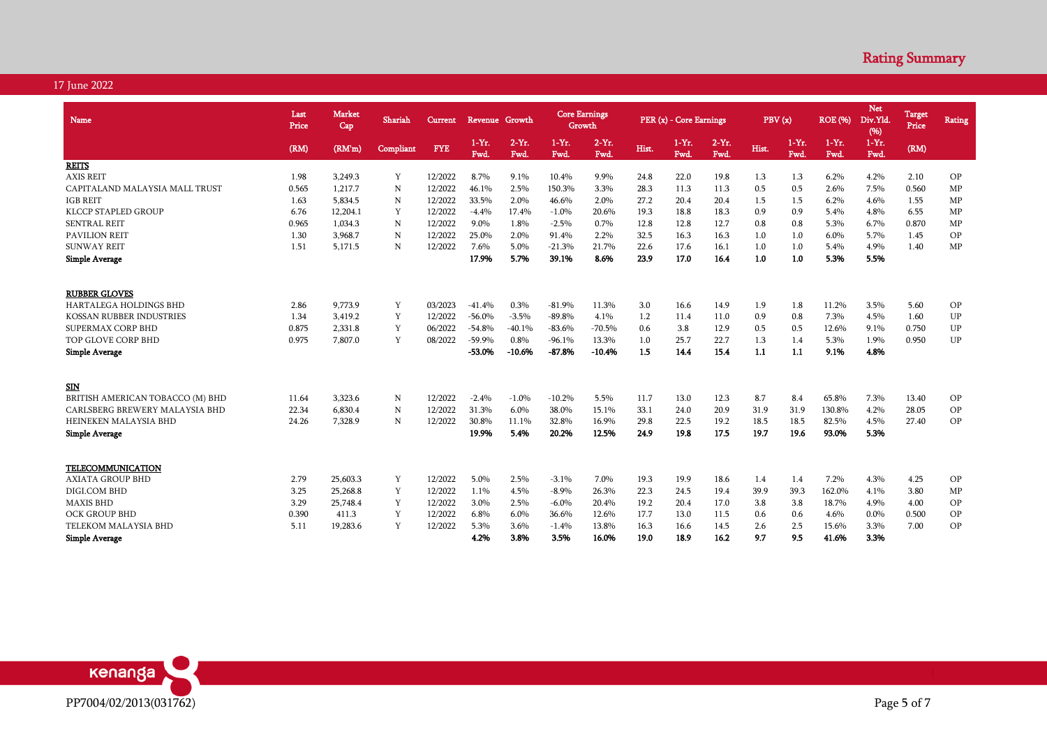| Name                             | Last<br>Price | <b>Market</b><br>Cap | Shariah     | Current.   | Revenue Growth  |                 | <b>Core Earnings</b><br>Growth |                  |       | PER (x) - Core Earnings |                 | PBV(x) |                 | <b>ROE</b> (%)   | <b>Net</b><br>Div.Yld<br>(96) | <b>Target</b><br>Price | <b>Rating</b> |
|----------------------------------|---------------|----------------------|-------------|------------|-----------------|-----------------|--------------------------------|------------------|-------|-------------------------|-----------------|--------|-----------------|------------------|-------------------------------|------------------------|---------------|
|                                  | (RM)          | (RM'm)               | Compliant   | <b>FYE</b> | $1-Yr.$<br>Fwd. | $2-Yr.$<br>Fwd. | $1-Yr.$<br>Fwd.                | $2-Yr$ .<br>Fwd. | Hist. | $1-Yr.$<br>Fwd.         | $2-Yr.$<br>Fwd. | Hist.  | $1-Yr.$<br>Fwd. | $1-Yr$ .<br>Fwd. | $1-Yr.$<br>Fwd.               | (RM)                   |               |
| <b>REITS</b>                     |               |                      |             |            |                 |                 |                                |                  |       |                         |                 |        |                 |                  |                               |                        |               |
| <b>AXIS REIT</b>                 | 1.98          | 3,249.3              | Y           | 12/2022    | 8.7%            | 9.1%            | 10.4%                          | 9.9%             | 24.8  | 22.0                    | 19.8            | 1.3    | 1.3             | 6.2%             | 4.2%                          | 2.10                   | OP            |
| CAPITALAND MALAYSIA MALL TRUST   | 0.565         | 1,217.7              | N           | 12/2022    | 46.1%           | 2.5%            | 150.3%                         | 3.3%             | 28.3  | 11.3                    | 11.3            | 0.5    | 0.5             | 2.6%             | 7.5%                          | 0.560                  | MP            |
| <b>IGB REIT</b>                  | 1.63          | 5,834.5              | $\mathbf N$ | 12/2022    | 33.5%           | 2.0%            | 46.6%                          | 2.0%             | 27.2  | 20.4                    | 20.4            | 1.5    | 1.5             | 6.2%             | 4.6%                          | 1.55                   | MP            |
| <b>KLCCP STAPLED GROUP</b>       | 6.76          | 12,204.1             | Y           | 12/2022    | $-4.4%$         | 17.4%           | $-1.0%$                        | 20.6%            | 19.3  | 18.8                    | 18.3            | 0.9    | 0.9             | 5.4%             | 4.8%                          | 6.55                   | MP            |
| <b>SENTRAL REIT</b>              | 0.965         | 1,034.3              | N           | 12/2022    | 9.0%            | 1.8%            | $-2.5%$                        | 0.7%             | 12.8  | 12.8                    | 12.7            | 0.8    | 0.8             | 5.3%             | 6.7%                          | 0.870                  | MP            |
| <b>PAVILION REIT</b>             | 1.30          | 3,968.7              | $\mathbf N$ | 12/2022    | 25.0%           | 2.0%            | 91.4%                          | 2.2%             | 32.5  | 16.3                    | 16.3            | 1.0    | 1.0             | 6.0%             | 5.7%                          | 1.45                   | OP            |
| <b>SUNWAY REIT</b>               | 1.51          | 5,171.5              | N           | 12/2022    | 7.6%            | 5.0%            | $-21.3%$                       | 21.7%            | 22.6  | 17.6                    | 16.1            | 1.0    | 1.0             | 5.4%             | 4.9%                          | 1.40                   | MP            |
| <b>Simple Average</b>            |               |                      |             |            | 17.9%           | 5.7%            | 39.1%                          | 8.6%             | 23.9  | 17.0                    | 16.4            | 1.0    | 1.0             | 5.3%             | 5.5%                          |                        |               |
| <b>RUBBER GLOVES</b>             |               |                      |             |            |                 |                 |                                |                  |       |                         |                 |        |                 |                  |                               |                        |               |
| <b>HARTALEGA HOLDINGS BHD</b>    | 2.86          | 9,773.9              | Y           | 03/2023    | $-41.4%$        | 0.3%            | $-81.9%$                       | 11.3%            | 3.0   | 16.6                    | 14.9            | 1.9    | 1.8             | 11.2%            | 3.5%                          | 5.60                   | OP            |
| <b>KOSSAN RUBBER INDUSTRIES</b>  | 1.34          | 3.419.2              | Y           | 12/2022    | $-56.0%$        | $-3.5%$         | $-89.8%$                       | 4.1%             | 1.2   | 11.4                    | 11.0            | 0.9    | 0.8             | 7.3%             | 4.5%                          | 1.60                   | UP            |
| SUPERMAX CORP BHD                | 0.875         | 2,331.8              | Y           | 06/2022    | $-54.8%$        | $-40.1%$        | $-83.6%$                       | $-70.5%$         | 0.6   | 3.8                     | 12.9            | 0.5    | 0.5             | 12.6%            | 9.1%                          | 0.750                  | UP            |
| TOP GLOVE CORP BHD               | 0.975         | 7,807.0              | Y           | 08/2022    | $-59.9%$        | 0.8%            | $-96.1%$                       | 13.3%            | 1.0   | 25.7                    | 22.7            | 1.3    | 1.4             | 5.3%             | 1.9%                          | 0.950                  | UP            |
| <b>Simple Average</b>            |               |                      |             |            | $-53.0%$        | $-10.6%$        | $-87.8%$                       | $-10.4%$         | 1.5   | 14.4                    | 15.4            | 1.1    | 1.1             | 9.1%             | 4.8%                          |                        |               |
| SIN                              |               |                      |             |            |                 |                 |                                |                  |       |                         |                 |        |                 |                  |                               |                        |               |
| BRITISH AMERICAN TOBACCO (M) BHD | 11.64         | 3,323.6              | N           | 12/2022    | $-2.4%$         | $-1.0%$         | $-10.2%$                       | 5.5%             | 11.7  | 13.0                    | 12.3            | 8.7    | 8.4             | 65.8%            | 7.3%                          | 13.40                  | OP            |
| CARLSBERG BREWERY MALAYSIA BHD   | 22.34         | 6,830.4              | N           | 12/2022    | 31.3%           | 6.0%            | 38.0%                          | 15.1%            | 33.1  | 24.0                    | 20.9            | 31.9   | 31.9            | 130.8%           | 4.2%                          | 28.05                  | OP            |
| HEINEKEN MALAYSIA BHD            | 24.26         | 7,328.9              | N           | 12/2022    | 30.8%           | 11.1%           | 32.8%                          | 16.9%            | 29.8  | 22.5                    | 19.2            | 18.5   | 18.5            | 82.5%            | 4.5%                          | 27.40                  | OP            |
| <b>Simple Average</b>            |               |                      |             |            | 19.9%           | 5.4%            | 20.2%                          | 12.5%            | 24.9  | 19.8                    | 17.5            | 19.7   | 19.6            | 93.0%            | 5.3%                          |                        |               |
| TELECOMMUNICATION                |               |                      |             |            |                 |                 |                                |                  |       |                         |                 |        |                 |                  |                               |                        |               |
| <b>AXIATA GROUP BHD</b>          | 2.79          | 25,603.3             | Y           | 12/2022    | 5.0%            | 2.5%            | $-3.1%$                        | 7.0%             | 19.3  | 19.9                    | 18.6            | 1.4    | 1.4             | 7.2%             | 4.3%                          | 4.25                   | OP            |
| DIGI.COM BHD                     | 3.25          | 25,268.8             | Y           | 12/2022    | 1.1%            | 4.5%            | $-8.9%$                        | 26.3%            | 22.3  | 24.5                    | 19.4            | 39.9   | 39.3            | 162.0%           | 4.1%                          | 3.80                   | MP            |
| <b>MAXIS BHD</b>                 | 3.29          | 25,748.4             | Y           | 12/2022    | 3.0%            | 2.5%            | $-6.0\%$                       | 20.4%            | 19.2  | 20.4                    | 17.0            | 3.8    | 3.8             | 18.7%            | 4.9%                          | 4.00                   | OP            |
| <b>OCK GROUP BHD</b>             | 0.390         | 411.3                | Y           | 12/2022    | 6.8%            | 6.0%            | 36.6%                          | 12.6%            | 17.7  | 13.0                    | 11.5            | 0.6    | 0.6             | 4.6%             | 0.0%                          | 0.500                  | OP            |
| TELEKOM MALAYSIA BHD             | 5.11          | 19,283.6             | Y           | 12/2022    | 5.3%            | 3.6%            | $-1.4%$                        | 13.8%            | 16.3  | 16.6                    | 14.5            | 2.6    | 2.5             | 15.6%            | 3.3%                          | 7.00                   | OP            |
| <b>Simple Average</b>            |               |                      |             |            | 4.2%            | 3.8%            | 3.5%                           | 16.0%            | 19.0  | 18.9                    | 16.2            | 9.7    | 9.5             | 41.6%            | 3.3%                          |                        |               |

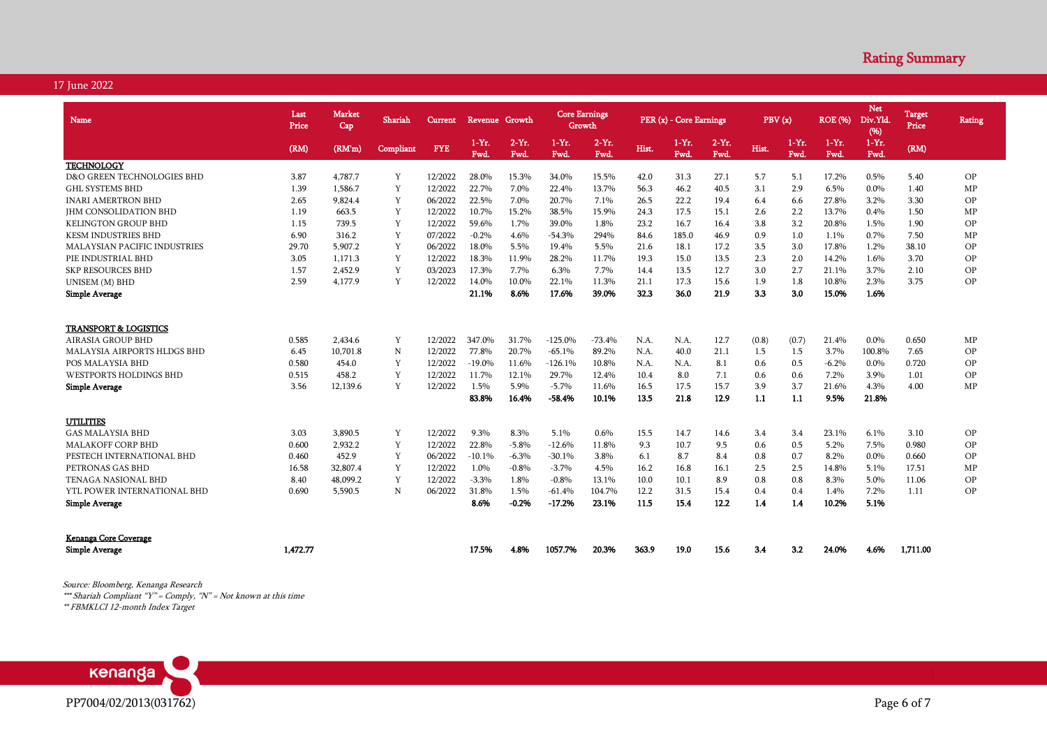| <b>Name</b>                         | Last<br>Price | <b>Market</b><br>Cap | Shariah   | Current    | Revenue Growth  |                  | <b>Core Earnings</b><br>Growth |                  |       | PER (x) - Core Earnings |                       | PBV(x) |                 | <b>ROE</b> (%)   | <b>Net</b><br>Div.Yld<br>(%) | <b>Target</b><br>Price | <b>Rating</b> |
|-------------------------------------|---------------|----------------------|-----------|------------|-----------------|------------------|--------------------------------|------------------|-------|-------------------------|-----------------------|--------|-----------------|------------------|------------------------------|------------------------|---------------|
|                                     | (RM)          | (RM'm)               | Compliant | <b>FYE</b> | $1-Yr.$<br>Fwd. | $2-Yr$ .<br>Fwd. | $1-Yr.$<br>Fwd.                | $2-Yr$ .<br>Fwd. | Hist. | $1-Yr.$<br>Fwd.         | $2-Yr.$<br><b>Fwd</b> | Hist.  | $1-Yr.$<br>Fwd. | $1-Yr$ .<br>Fwd. | $1 - Yr$ .<br>Fwd.           | (RM)                   |               |
| <b>TECHNOLOGY</b>                   |               |                      |           |            |                 |                  |                                |                  |       |                         |                       |        |                 |                  |                              |                        |               |
| D&O GREEN TECHNOLOGIES BHD          | 3.87          | 4,787.7              | Y         | 12/2022    | 28.0%           | 15.3%            | 34.0%                          | 15.5%            | 42.0  | 31.3                    | 27.1                  | 5.7    | 5.1             | 17.2%            | 0.5%                         | 5.40                   | OP            |
| <b>GHL SYSTEMS BHD</b>              | 1.39          | 1,586.7              | Y         | 12/2022    | 22.7%           | 7.0%             | 22.4%                          | 13.7%            | 56.3  | 46.2                    | 40.5                  | 3.1    | 2.9             | 6.5%             | 0.0%                         | 1.40                   | MP            |
| <b>INARI AMERTRON BHD</b>           | 2.65          | 9,824.4              | Y         | 06/2022    | 22.5%           | 7.0%             | 20.7%                          | 7.1%             | 26.5  | 22.2                    | 19.4                  | 6.4    | 6.6             | 27.8%            | 3.2%                         | 3.30                   | OP            |
| <b>JHM CONSOLIDATION BHD</b>        | 1.19          | 663.5                | Y         | 12/2022    | 10.7%           | 15.2%            | 38.5%                          | 15.9%            | 24.3  | 17.5                    | 15.1                  | 2.6    | 2.2             | 13.7%            | 0.4%                         | 1.50                   | MP            |
| <b>KELINGTON GROUP BHD</b>          | 1.15          | 739.5                | Y         | 12/2022    | 59.6%           | 1.7%             | 39.0%                          | 1.8%             | 23.2  | 16.7                    | 16.4                  | 3.8    | 3.2             | 20.8%            | 1.5%                         | 1.90                   | OP            |
| <b>KESM INDUSTRIES BHD</b>          | 6.90          | 316.2                | Y         | 07/2022    | $-0.2%$         | 4.6%             | $-54.3%$                       | 294%             | 84.6  | 185.0                   | 46.9                  | 0.9    | 1.0             | 1.1%             | 0.7%                         | 7.50                   | MP            |
| <b>MALAYSIAN PACIFIC INDUSTRIES</b> | 29.70         | 5.907.2              | Y         | 06/2022    | 18.0%           | 5.5%             | 19.4%                          | 5.5%             | 21.6  | 18.1                    | 17.2                  | 3.5    | 3.0             | 17.8%            | 1.2%                         | 38.10                  | OP            |
| PIE INDUSTRIAL BHD                  | 3.05          | 1,171.3              | Y         | 12/2022    | 18.3%           | 11.9%            | 28.2%                          | 11.7%            | 19.3  | 15.0                    | 13.5                  | 2.3    | 2.0             | 14.2%            | 1.6%                         | 3.70                   | OP            |
| <b>SKP RESOURCES BHD</b>            | 1.57          | 2,452.9              | Y         | 03/2023    | 17.3%           | 7.7%             | 6.3%                           | 7.7%             | 14.4  | 13.5                    | 12.7                  | 3.0    | 2.7             | 21.1%            | 3.7%                         | 2.10                   | OP            |
| UNISEM (M) BHD                      | 2.59          | 4,177.9              | Y         | 12/2022    | 14.0%           | 10.0%            | 22.1%                          | 11.3%            | 21.1  | 17.3                    | 15.6                  | 1.9    | 1.8             | 10.8%            | 2.3%                         | 3.75                   | OP            |
| <b>Simple Average</b>               |               |                      |           |            | 21.1%           | 8.6%             | 17.6%                          | 39.0%            | 32.3  | 36.0                    | 21.9                  | 3.3    | 3.0             | 15.0%            | 1.6%                         |                        |               |
| <b>TRANSPORT &amp; LOGISTICS</b>    |               |                      |           |            |                 |                  |                                |                  |       |                         |                       |        |                 |                  |                              |                        |               |
| AIRASIA GROUP BHD                   | 0.585         | 2,434.6              | Y         | 12/2022    | 347.0%          | 31.7%            | $-125.0%$                      | $-73.4%$         | N.A.  | N.A.                    | 12.7                  | (0.8)  | (0.7)           | 21.4%            | 0.0%                         | 0.650                  | MP            |
| MALAYSIA AIRPORTS HLDGS BHD         | 6.45          | 10,701.8             | N         | 12/2022    | 77.8%           | 20.7%            | $-65.1%$                       | 89.2%            | N.A.  | 40.0                    | 21.1                  | 1.5    | 1.5             | 3.7%             | 100.8%                       | 7.65                   | OP            |
| POS MALAYSIA BHD                    | 0.580         | 454.0                | Y         | 12/2022    | $-19.0%$        | 11.6%            | $-126.1%$                      | 10.8%            | N.A.  | N.A.                    | 8.1                   | 0.6    | 0.5             | $-6.2%$          | $0.0\%$                      | 0.720                  | OP            |
| WESTPORTS HOLDINGS BHD              | 0.515         | 458.2                | Y         | 12/2022    | 11.7%           | 12.1%            | 29.7%                          | 12.4%            | 10.4  | 8.0                     | 7.1                   | 0.6    | 0.6             | 7.2%             | 3.9%                         | 1.01                   | OP            |
| Simple Average                      | 3.56          | 12,139.6             | Y         | 12/2022    | 1.5%            | 5.9%             | $-5.7%$                        | 11.6%            | 16.5  | 17.5                    | 15.7                  | 3.9    | 3.7             | 21.6%            | 4.3%                         | 4.00                   | MP            |
|                                     |               |                      |           |            | 83.8%           | 16.4%            | $-58.4%$                       | 10.1%            | 13.5  | 21.8                    | 12.9                  | 1.1    | 1.1             | 9.5%             | 21.8%                        |                        |               |
| <b>UTILITIES</b>                    |               |                      |           |            |                 |                  |                                |                  |       |                         |                       |        |                 |                  |                              |                        |               |
| <b>GAS MALAYSIA BHD</b>             | 3.03          | 3.890.5              | Y         | 12/2022    | 9.3%            | 8.3%             | 5.1%                           | 0.6%             | 15.5  | 14.7                    | 14.6                  | 3.4    | 3.4             | 23.1%            | 6.1%                         | 3.10                   | OP            |
| <b>MALAKOFF CORP BHD</b>            | 0.600         | 2.932.2              | Y         | 12/2022    | 22.8%           | $-5.8%$          | $-12.6%$                       | 11.8%            | 9.3   | 10.7                    | 9.5                   | 0.6    | 0.5             | 5.2%             | 7.5%                         | 0.980                  | OP            |
| PESTECH INTERNATIONAL BHD           | 0.460         | 452.9                | Y         | 06/2022    | $-10.1%$        | $-6.3%$          | $-30.1%$                       | 3.8%             | 6.1   | 8.7                     | 8.4                   | 0.8    | 0.7             | 8.2%             | 0.0%                         | 0.660                  | OP            |
| PETRONAS GAS BHD                    | 16.58         | 32,807.4             | Y         | 12/2022    | 1.0%            | $-0.8%$          | $-3.7%$                        | 4.5%             | 16.2  | 16.8                    | 16.1                  | 2.5    | 2.5             | 14.8%            | 5.1%                         | 17.51                  | <b>MP</b>     |
| <b>TENAGA NASIONAL BHD</b>          | 8.40          | 48,099.2             | Y         | 12/2022    | $-3.3%$         | 1.8%             | $-0.8%$                        | 13.1%            | 10.0  | 10.1                    | 8.9                   | 0.8    | 0.8             | 8.3%             | 5.0%                         | 11.06                  | <b>OP</b>     |
| YTL POWER INTERNATIONAL BHD         | 0.690         | 5,590.5              | N         | 06/2022    | 31.8%           | 1.5%             | $-61.4%$                       | 104.7%           | 12.2  | 31.5                    | 15.4                  | 0.4    | 0.4             | 1.4%             | 7.2%                         | 1.11                   | <b>OP</b>     |
| <b>Simple Average</b>               |               |                      |           |            | 8.6%            | $-0.2%$          | $-17.2%$                       | 23.1%            | 11.5  | 15.4                    | 12.2                  | 1.4    | 1.4             | 10.2%            | 5.1%                         |                        |               |
| Kenanga Core Coverage               |               |                      |           |            |                 |                  |                                |                  |       |                         |                       |        |                 |                  |                              |                        |               |
| <b>Simple Average</b>               | 1.472.77      |                      |           |            | 17.5%           | 4.8%             | 1057.7%                        | 20.3%            | 363.9 | 19.0                    | 15.6                  | 3.4    | 3.2             | 24.0%            | 4.6%                         | 1,711.00               |               |

Source: Bloomberg, Kenanga Research \*\*\* Shariah Compliant "Y" = Comply, "N" = Not known at this time \*\* FBMKLCI 12-month Index Target